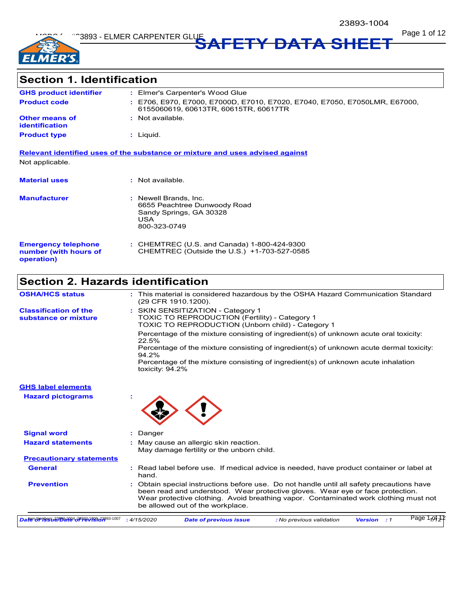

Page 1 of 12 **SAFETY DATA SHEET**

# **Section 1. Identification**

| <b>GHS product identifier</b>                  | : Elmer's Carpenter's Wood Glue                                                                                     |
|------------------------------------------------|---------------------------------------------------------------------------------------------------------------------|
| <b>Product code</b>                            | : E706, E970, E7000, E7000D, E7010, E7020, E7040, E7050, E7050LMR, E67000,<br>6155060619, 60613TR, 60615TR, 60617TR |
| <b>Other means of</b><br><b>identification</b> | : Not available.                                                                                                    |
| <b>Product type</b>                            | : Liauid.                                                                                                           |
|                                                |                                                                                                                     |

**Relevant identified uses of the substance or mixture and uses advised against** Not applicable.

| <b>Material uses</b>                                              | : Not available.                                                                                        |
|-------------------------------------------------------------------|---------------------------------------------------------------------------------------------------------|
| <b>Manufacturer</b>                                               | : Newell Brands, Inc.<br>6655 Peachtree Dunwoody Road<br>Sandy Springs, GA 30328<br>USA<br>800-323-0749 |
| <b>Emergency telephone</b><br>number (with hours of<br>operation) | : CHEMTREC (U.S. and Canada) 1-800-424-9300<br>CHEMTREC (Outside the U.S.) +1-703-527-0585              |

## **Section 2. Hazards identification**

| <b>OSHA/HCS status</b>                               |             | : This material is considered hazardous by the OSHA Hazard Communication Standard<br>(29 CFR 1910 1200).                                                                                                                                                                                              |
|------------------------------------------------------|-------------|-------------------------------------------------------------------------------------------------------------------------------------------------------------------------------------------------------------------------------------------------------------------------------------------------------|
| <b>Classification of the</b><br>substance or mixture |             | : SKIN SENSITIZATION - Category 1<br>TOXIC TO REPRODUCTION (Fertility) - Category 1<br>TOXIC TO REPRODUCTION (Unborn child) - Category 1                                                                                                                                                              |
|                                                      | 22.5%       | Percentage of the mixture consisting of ingredient(s) of unknown acute oral toxicity:                                                                                                                                                                                                                 |
|                                                      | 94.2%       | Percentage of the mixture consisting of ingredient(s) of unknown acute dermal toxicity:                                                                                                                                                                                                               |
|                                                      |             | Percentage of the mixture consisting of ingredient(s) of unknown acute inhalation<br>toxicity: 94.2%                                                                                                                                                                                                  |
| <b>GHS label elements</b>                            |             |                                                                                                                                                                                                                                                                                                       |
| <b>Hazard pictograms</b>                             |             |                                                                                                                                                                                                                                                                                                       |
| <b>Signal word</b>                                   | : Danger    |                                                                                                                                                                                                                                                                                                       |
| <b>Hazard statements</b>                             |             | : May cause an allergic skin reaction.<br>May damage fertility or the unborn child.                                                                                                                                                                                                                   |
| <b>Precautionary statements</b>                      |             |                                                                                                                                                                                                                                                                                                       |
| <b>General</b>                                       | hand.       | : Read label before use. If medical advice is needed, have product container or label at                                                                                                                                                                                                              |
| <b>Prevention</b>                                    |             | Obtain special instructions before use. Do not handle until all safety precautions have<br>been read and understood. Wear protective gloves. Wear eye or face protection.<br>Wear protective clothing. Avoid breathing vapor. Contaminated work clothing must not<br>be allowed out of the workplace. |
| Date Surges 232021294243822199633893-1007            | : 4/15/2020 | Page 1,013<br><b>Date of previous issue</b><br><b>Version</b> : 1<br>: No previous validation                                                                                                                                                                                                         |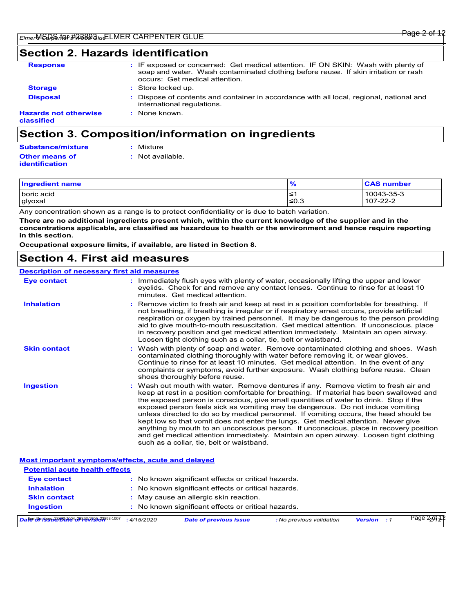## **Section 2. Hazards identification**

| <b>Response</b>                            | : IF exposed or concerned: Get medical attention. IF ON SKIN: Wash with plenty of<br>soap and water. Wash contaminated clothing before reuse. If skin irritation or rash<br>occurs: Get medical attention. |
|--------------------------------------------|------------------------------------------------------------------------------------------------------------------------------------------------------------------------------------------------------------|
| <b>Storage</b>                             | : Store locked up.                                                                                                                                                                                         |
| <b>Disposal</b>                            | Dispose of contents and container in accordance with all local, regional, national and<br>international regulations.                                                                                       |
| <b>Hazards not otherwise</b><br>classified | : None known.                                                                                                                                                                                              |
|                                            |                                                                                                                                                                                                            |

## **Section 3. Composition/information on ingredients**

| <b>Substance/mixture</b> | : Mixture        |
|--------------------------|------------------|
| Other means of           | : Not available. |
| identification           |                  |

| Ingredient name   | $\mathbf{a}$<br>7٥ | <b>CAS number</b> |
|-------------------|--------------------|-------------------|
| <b>boric</b> acid | $\leq$             | 10043-35-3        |
| glyoxal           | ≤0.3               | 107-22-2          |

Any concentration shown as a range is to protect confidentiality or is due to batch variation.

**There are no additional ingredients present which, within the current knowledge of the supplier and in the concentrations applicable, are classified as hazardous to health or the environment and hence require reporting in this section.**

**Occupational exposure limits, if available, are listed in Section 8.**

### **Section 4. First aid measures**

#### **Description of necessary first aid measures**

| <b>Eye contact</b>                                 | : Immediately flush eyes with plenty of water, occasionally lifting the upper and lower<br>eyelids. Check for and remove any contact lenses. Continue to rinse for at least 10<br>minutes. Get medical attention.                                                                                                                                                                                                                                                                                                                                                                                                                                                                                                                                                         |
|----------------------------------------------------|---------------------------------------------------------------------------------------------------------------------------------------------------------------------------------------------------------------------------------------------------------------------------------------------------------------------------------------------------------------------------------------------------------------------------------------------------------------------------------------------------------------------------------------------------------------------------------------------------------------------------------------------------------------------------------------------------------------------------------------------------------------------------|
| <b>Inhalation</b>                                  | Remove victim to fresh air and keep at rest in a position comfortable for breathing. If<br>not breathing, if breathing is irregular or if respiratory arrest occurs, provide artificial<br>respiration or oxygen by trained personnel. It may be dangerous to the person providing<br>aid to give mouth-to-mouth resuscitation. Get medical attention. If unconscious, place<br>in recovery position and get medical attention immediately. Maintain an open airway.<br>Loosen tight clothing such as a collar, tie, belt or waistband.                                                                                                                                                                                                                                   |
| <b>Skin contact</b>                                | : Wash with plenty of soap and water. Remove contaminated clothing and shoes. Wash<br>contaminated clothing thoroughly with water before removing it, or wear gloves.<br>Continue to rinse for at least 10 minutes. Get medical attention. In the event of any<br>complaints or symptoms, avoid further exposure. Wash clothing before reuse. Clean<br>shoes thoroughly before reuse.                                                                                                                                                                                                                                                                                                                                                                                     |
| <b>Ingestion</b>                                   | : Wash out mouth with water. Remove dentures if any. Remove victim to fresh air and<br>keep at rest in a position comfortable for breathing. If material has been swallowed and<br>the exposed person is conscious, give small quantities of water to drink. Stop if the<br>exposed person feels sick as vomiting may be dangerous. Do not induce vomiting<br>unless directed to do so by medical personnel. If vomiting occurs, the head should be<br>kept low so that vomit does not enter the lungs. Get medical attention. Never give<br>anything by mouth to an unconscious person. If unconscious, place in recovery position<br>and get medical attention immediately. Maintain an open airway. Loosen tight clothing<br>such as a collar, tie, belt or waistband. |
| Most important symptoms/effects, acute and delayed |                                                                                                                                                                                                                                                                                                                                                                                                                                                                                                                                                                                                                                                                                                                                                                           |
| <b>Potential acute health effects</b>              |                                                                                                                                                                                                                                                                                                                                                                                                                                                                                                                                                                                                                                                                                                                                                                           |
| <b>Eye contact</b>                                 | : No known significant effects or critical hazards.                                                                                                                                                                                                                                                                                                                                                                                                                                                                                                                                                                                                                                                                                                                       |
| <b>Inhalation</b>                                  | : No known significant effects or critical hazards.                                                                                                                                                                                                                                                                                                                                                                                                                                                                                                                                                                                                                                                                                                                       |
| <b>Skin contact</b>                                | : May cause an allergic skin reaction.                                                                                                                                                                                                                                                                                                                                                                                                                                                                                                                                                                                                                                                                                                                                    |
| <b>Ingestion</b>                                   | : No known significant effects or critical hazards.                                                                                                                                                                                                                                                                                                                                                                                                                                                                                                                                                                                                                                                                                                                       |
| Date broken 23893-1094-28893-1098-23893-1007       | Page 2291212<br><b>Version</b> : 1<br>: 4/15/2020<br><b>Date of previous issue</b><br>: No previous validation                                                                                                                                                                                                                                                                                                                                                                                                                                                                                                                                                                                                                                                            |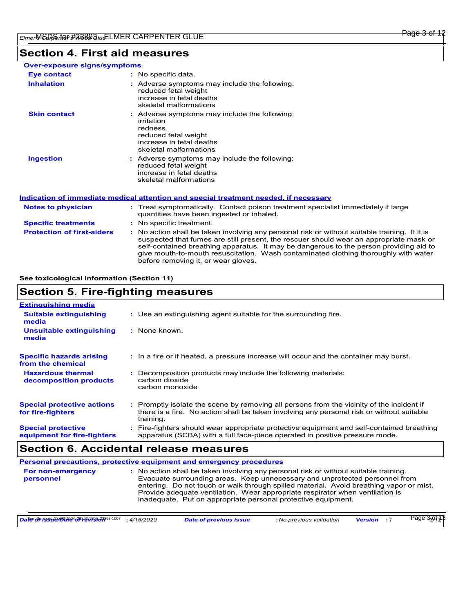## **Section 4. First aid measures**

| <b>Over-exposure signs/symptoms</b> |                                                                                                                                                                                                                                                                                                                                                                                                                 |
|-------------------------------------|-----------------------------------------------------------------------------------------------------------------------------------------------------------------------------------------------------------------------------------------------------------------------------------------------------------------------------------------------------------------------------------------------------------------|
| Eye contact                         | $:$ No specific data.                                                                                                                                                                                                                                                                                                                                                                                           |
| <b>Inhalation</b>                   | : Adverse symptoms may include the following:<br>reduced fetal weight<br>increase in fetal deaths<br>skeletal malformations                                                                                                                                                                                                                                                                                     |
| <b>Skin contact</b>                 | : Adverse symptoms may include the following:<br>irritation<br>redness<br>reduced fetal weight<br>increase in fetal deaths<br>skeletal malformations                                                                                                                                                                                                                                                            |
| <b>Ingestion</b>                    | : Adverse symptoms may include the following:<br>reduced fetal weight<br>increase in fetal deaths<br>skeletal malformations                                                                                                                                                                                                                                                                                     |
|                                     | Indication of immediate medical attention and special treatment needed, if necessary                                                                                                                                                                                                                                                                                                                            |
| <b>Notes to physician</b>           | : Treat symptomatically. Contact poison treatment specialist immediately if large<br>quantities have been ingested or inhaled.                                                                                                                                                                                                                                                                                  |
| <b>Specific treatments</b>          | : No specific treatment.                                                                                                                                                                                                                                                                                                                                                                                        |
| <b>Protection of first-aiders</b>   | : No action shall be taken involving any personal risk or without suitable training. If it is<br>suspected that fumes are still present, the rescuer should wear an appropriate mask or<br>self-contained breathing apparatus. It may be dangerous to the person providing aid to<br>give mouth-to-mouth resuscitation. Wash contaminated clothing thoroughly with water<br>before removing it, or wear gloves. |

### **See toxicological information (Section 11)**

## **Section 5. Fire-fighting measures**

| <b>Extinguishing media</b>                               |                                                                                                                                                                                                   |
|----------------------------------------------------------|---------------------------------------------------------------------------------------------------------------------------------------------------------------------------------------------------|
| <b>Suitable extinguishing</b><br>media                   | : Use an extinguishing agent suitable for the surrounding fire.                                                                                                                                   |
| Unsuitable extinguishing<br>media                        | : None known.                                                                                                                                                                                     |
| <b>Specific hazards arising</b><br>from the chemical     | : In a fire or if heated, a pressure increase will occur and the container may burst.                                                                                                             |
| <b>Hazardous thermal</b><br>decomposition products       | Decomposition products may include the following materials:<br>carbon dioxide<br>carbon monoxide                                                                                                  |
| <b>Special protective actions</b><br>for fire-fighters   | Promptly isolate the scene by removing all persons from the vicinity of the incident if<br>there is a fire. No action shall be taken involving any personal risk or without suitable<br>training. |
| <b>Special protective</b><br>equipment for fire-fighters | Fire-fighters should wear appropriate protective equipment and self-contained breathing<br>apparatus (SCBA) with a full face-piece operated in positive pressure mode.                            |

## **Section 6. Accidental release measures**

|                                | Personal precautions, protective equipment and emergency procedures                                                                                                                                                                                                                                                                                                                                              |
|--------------------------------|------------------------------------------------------------------------------------------------------------------------------------------------------------------------------------------------------------------------------------------------------------------------------------------------------------------------------------------------------------------------------------------------------------------|
| For non-emergency<br>personnel | : No action shall be taken involving any personal risk or without suitable training.<br>Evacuate surrounding areas. Keep unnecessary and unprotected personnel from<br>entering. Do not touch or walk through spilled material. Avoid breathing vapor or mist.<br>Provide adequate ventilation. Wear appropriate respirator when ventilation is<br>inadequate. Put on appropriate personal protective equipment. |

| Daten Numbers 23893-1094 28893-1096 23893-1007 | 4/15/2020 | <b>Date of previous issue</b> | : No previous validation | <b>Version</b> | 3-01 A P<br>ാage J<br>ے رہ |  |
|------------------------------------------------|-----------|-------------------------------|--------------------------|----------------|----------------------------|--|
|------------------------------------------------|-----------|-------------------------------|--------------------------|----------------|----------------------------|--|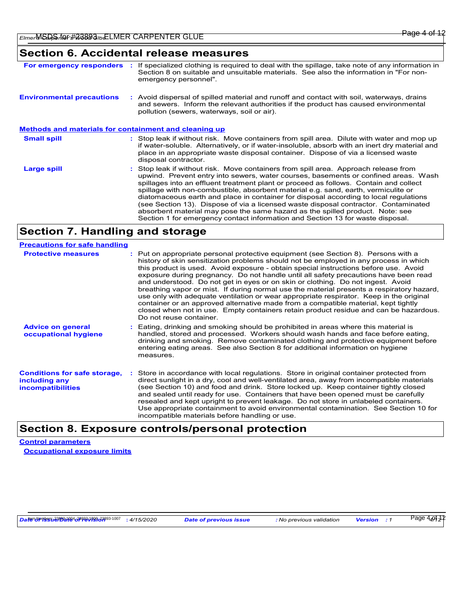## **Section 6. Accidental release measures**

| Section 8 on suitable and unsuitable materials. See also the information in "For non-<br>emergency personnel".                                                                                                                                                                                                                                                                                                                                                                                                                                                                                                                                                                                                            | If specialized clothing is required to deal with the spillage, take note of any information in |
|---------------------------------------------------------------------------------------------------------------------------------------------------------------------------------------------------------------------------------------------------------------------------------------------------------------------------------------------------------------------------------------------------------------------------------------------------------------------------------------------------------------------------------------------------------------------------------------------------------------------------------------------------------------------------------------------------------------------------|------------------------------------------------------------------------------------------------|
| <b>Environmental precautions</b><br>: Avoid dispersal of spilled material and runoff and contact with soil, waterways, drains<br>and sewers. Inform the relevant authorities if the product has caused environmental<br>pollution (sewers, waterways, soil or air).                                                                                                                                                                                                                                                                                                                                                                                                                                                       |                                                                                                |
| <u>Methods and materials for containment and cleaning up</u>                                                                                                                                                                                                                                                                                                                                                                                                                                                                                                                                                                                                                                                              |                                                                                                |
| <b>Small spill</b><br>: Stop leak if without risk. Move containers from spill area. Dilute with water and mop up<br>if water-soluble. Alternatively, or if water-insoluble, absorb with an inert dry material and<br>place in an appropriate waste disposal container. Dispose of via a licensed waste<br>disposal contractor.                                                                                                                                                                                                                                                                                                                                                                                            |                                                                                                |
| Stop leak if without risk. Move containers from spill area. Approach release from<br>Large spill<br>upwind. Prevent entry into sewers, water courses, basements or confined areas. Wash<br>spillages into an effluent treatment plant or proceed as follows. Contain and collect<br>spillage with non-combustible, absorbent material e.g. sand, earth, vermiculite or<br>diatomaceous earth and place in container for disposal according to local regulations<br>(see Section 13). Dispose of via a licensed waste disposal contractor. Contaminated<br>absorbent material may pose the same hazard as the spilled product. Note: see<br>Section 1 for emergency contact information and Section 13 for waste disposal. |                                                                                                |

## **Section 7. Handling and storage**

| <b>Precautions for safe handling</b>                                             |                                                                                                                                                                                                                                                                                                                                                                                                                                                                                                                                                                                                                                                                                                                                                                                                                                                  |
|----------------------------------------------------------------------------------|--------------------------------------------------------------------------------------------------------------------------------------------------------------------------------------------------------------------------------------------------------------------------------------------------------------------------------------------------------------------------------------------------------------------------------------------------------------------------------------------------------------------------------------------------------------------------------------------------------------------------------------------------------------------------------------------------------------------------------------------------------------------------------------------------------------------------------------------------|
| <b>Protective measures</b>                                                       | : Put on appropriate personal protective equipment (see Section 8). Persons with a<br>history of skin sensitization problems should not be employed in any process in which<br>this product is used. Avoid exposure - obtain special instructions before use. Avoid<br>exposure during pregnancy. Do not handle until all safety precautions have been read<br>and understood. Do not get in eyes or on skin or clothing. Do not ingest. Avoid<br>breathing vapor or mist. If during normal use the material presents a respiratory hazard,<br>use only with adequate ventilation or wear appropriate respirator. Keep in the original<br>container or an approved alternative made from a compatible material, kept tightly<br>closed when not in use. Empty containers retain product residue and can be hazardous.<br>Do not reuse container. |
| <b>Advice on general</b><br>occupational hygiene                                 | : Eating, drinking and smoking should be prohibited in areas where this material is<br>handled, stored and processed. Workers should wash hands and face before eating,<br>drinking and smoking. Remove contaminated clothing and protective equipment before<br>entering eating areas. See also Section 8 for additional information on hygiene<br>measures.                                                                                                                                                                                                                                                                                                                                                                                                                                                                                    |
| <b>Conditions for safe storage,</b><br>including any<br><b>incompatibilities</b> | Store in accordance with local regulations. Store in original container protected from<br>direct sunlight in a dry, cool and well-ventilated area, away from incompatible materials<br>(see Section 10) and food and drink. Store locked up. Keep container tightly closed<br>and sealed until ready for use. Containers that have been opened must be carefully<br>resealed and kept upright to prevent leakage. Do not store in unlabeled containers.<br>Use appropriate containment to avoid environmental contamination. See Section 10 for<br>incompatible materials before handling or use.                                                                                                                                                                                                                                                |

## **Section 8. Exposure controls/personal protection**

**Control parameters Occupational exposure limits**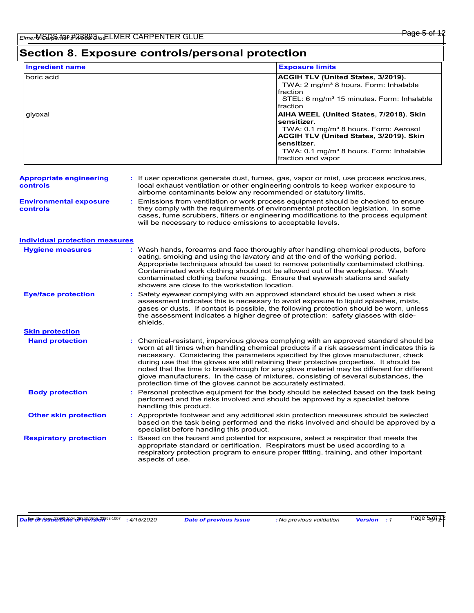## **Section 8. Exposure controls/personal protection**

| <b>Ingredient name</b> | <b>Exposure limits</b>                                                                                                                                                                                                                                    |
|------------------------|-----------------------------------------------------------------------------------------------------------------------------------------------------------------------------------------------------------------------------------------------------------|
| boric acid             | <b>ACGIH TLV (United States, 3/2019).</b><br>TWA: 2 mg/m <sup>3</sup> 8 hours. Form: Inhalable<br>fraction<br>STEL: 6 mg/m <sup>3</sup> 15 minutes. Form: Inhalable<br>fraction                                                                           |
| glyoxal                | AIHA WEEL (United States, 7/2018). Skin<br>sensitizer.<br>TWA: 0.1 mg/m <sup>3</sup> 8 hours. Form: Aerosol<br><b>ACGIH TLV (United States, 3/2019). Skin</b><br>sensitizer.<br>TWA: 0.1 mg/m <sup>3</sup> 8 hours. Form: Inhalable<br>fraction and vapor |

#### **Appropriate engineering controls :** If user operations generate dust, fumes, gas, vapor or mist, use process enclosures, local exhaust ventilation or other engineering controls to keep worker exposure to airborne contaminants below any recommended or statutory limits.

**Environmental exposure controls :** Emissions from ventilation or work process equipment should be checked to ensure they comply with the requirements of environmental protection legislation. In some cases, fume scrubbers, filters or engineering modifications to the process equipment will be necessary to reduce emissions to acceptable levels.

#### **Individual protection measures**

| <b>Hygiene measures</b>       | : Wash hands, forearms and face thoroughly after handling chemical products, before<br>eating, smoking and using the lavatory and at the end of the working period.<br>Appropriate techniques should be used to remove potentially contaminated clothing.<br>Contaminated work clothing should not be allowed out of the workplace. Wash<br>contaminated clothing before reusing. Ensure that eyewash stations and safety<br>showers are close to the workstation location.                                                                                                                                            |
|-------------------------------|------------------------------------------------------------------------------------------------------------------------------------------------------------------------------------------------------------------------------------------------------------------------------------------------------------------------------------------------------------------------------------------------------------------------------------------------------------------------------------------------------------------------------------------------------------------------------------------------------------------------|
| <b>Eye/face protection</b>    | : Safety eyewear complying with an approved standard should be used when a risk<br>assessment indicates this is necessary to avoid exposure to liquid splashes, mists,<br>gases or dusts. If contact is possible, the following protection should be worn, unless<br>the assessment indicates a higher degree of protection: safety glasses with side-<br>shields.                                                                                                                                                                                                                                                     |
| <b>Skin protection</b>        |                                                                                                                                                                                                                                                                                                                                                                                                                                                                                                                                                                                                                        |
| <b>Hand protection</b>        | : Chemical-resistant, impervious gloves complying with an approved standard should be<br>worn at all times when handling chemical products if a risk assessment indicates this is<br>necessary. Considering the parameters specified by the glove manufacturer, check<br>during use that the gloves are still retaining their protective properties. It should be<br>noted that the time to breakthrough for any glove material may be different for different<br>glove manufacturers. In the case of mixtures, consisting of several substances, the<br>protection time of the gloves cannot be accurately estimated. |
| <b>Body protection</b>        | : Personal protective equipment for the body should be selected based on the task being<br>performed and the risks involved and should be approved by a specialist before<br>handling this product.                                                                                                                                                                                                                                                                                                                                                                                                                    |
| <b>Other skin protection</b>  | : Appropriate footwear and any additional skin protection measures should be selected<br>based on the task being performed and the risks involved and should be approved by a<br>specialist before handling this product.                                                                                                                                                                                                                                                                                                                                                                                              |
| <b>Respiratory protection</b> | : Based on the hazard and potential for exposure, select a respirator that meets the<br>appropriate standard or certification. Respirators must be used according to a<br>respiratory protection program to ensure proper fitting, training, and other important<br>aspects of use.                                                                                                                                                                                                                                                                                                                                    |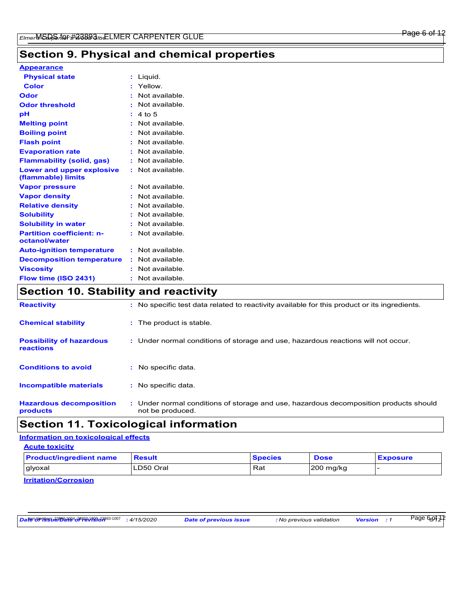## **Section 9. Physical and chemical properties**

| <b>Appearance</b> |  |  |
|-------------------|--|--|
|                   |  |  |

| <b>Physical state</b>                                                                                                                                  | : Liquid.        |
|--------------------------------------------------------------------------------------------------------------------------------------------------------|------------------|
| <b>Color</b>                                                                                                                                           | : Yellow.        |
| <b>Odor</b>                                                                                                                                            | : Not available. |
| <b>Odor threshold</b>                                                                                                                                  | : Not available. |
| pH                                                                                                                                                     | : 4 to 5         |
| <b>Melting point</b>                                                                                                                                   | : Not available. |
| <b>Boiling point</b>                                                                                                                                   | : Not available. |
| <b>Flash point</b>                                                                                                                                     | : Not available. |
| <b>Evaporation rate</b>                                                                                                                                | : Not available. |
| <b>Flammability (solid, gas)</b>                                                                                                                       | : Not available. |
| Lower and upper explosive<br>(flammable) limits                                                                                                        | : Not available. |
| <b>Vapor pressure</b>                                                                                                                                  | : Not available. |
| <b>Vapor density</b>                                                                                                                                   | : Not available. |
| <b>Relative density</b>                                                                                                                                | : Not available. |
| <b>Solubility</b>                                                                                                                                      | : Not available. |
| <b>Solubility in water</b>                                                                                                                             | : Not available. |
| <b>Partition coefficient: n-</b><br>octanol/water                                                                                                      | : Not available. |
| <b>Auto-ignition temperature</b>                                                                                                                       | : Not available. |
| <b>Decomposition temperature</b>                                                                                                                       | : Not available. |
| <b>Viscosity</b>                                                                                                                                       | : Not available. |
| Flow time (ISO 2431)                                                                                                                                   | : Not available. |
| $\mathbf{A}$ and the state $\mathbf{A}$ and $\mathbf{A}$ and $\mathbf{A}$ are the state of $\mathbf{A}$ and $\mathbf{A}$ are the state of $\mathbf{A}$ |                  |

### **Section 10. Stability and reactivity**

| <b>Reactivity</b>                            | : No specific test data related to reactivity available for this product or its ingredients.              |
|----------------------------------------------|-----------------------------------------------------------------------------------------------------------|
| <b>Chemical stability</b>                    | : The product is stable.                                                                                  |
| <b>Possibility of hazardous</b><br>reactions | : Under normal conditions of storage and use, hazardous reactions will not occur.                         |
| <b>Conditions to avoid</b>                   | $:$ No specific data.                                                                                     |
| <b>Incompatible materials</b>                | : No specific data.                                                                                       |
| <b>Hazardous decomposition</b><br>products   | : Under normal conditions of storage and use, hazardous decomposition products should<br>not be produced. |

## **Section 11. Toxicological information**

### **Information on toxicological effects**

| <b>Acute toxicity</b>          |               |                |             |                 |
|--------------------------------|---------------|----------------|-------------|-----------------|
| <b>Product/ingredient name</b> | <b>Result</b> | <b>Species</b> | <b>Dose</b> | <b>Exposure</b> |
| glyoxal                        | LD50 Oral     | Rat            | $200$ mg/kg |                 |
| $I = I + I + I + I$            |               |                |             |                 |

**Irritation/Corrosion**

<u>Datero https://web/2019/https://web/20199334007 : 4/15/2020 Date of previous issue the previous validation Version : 1 Page 660 12 P</u>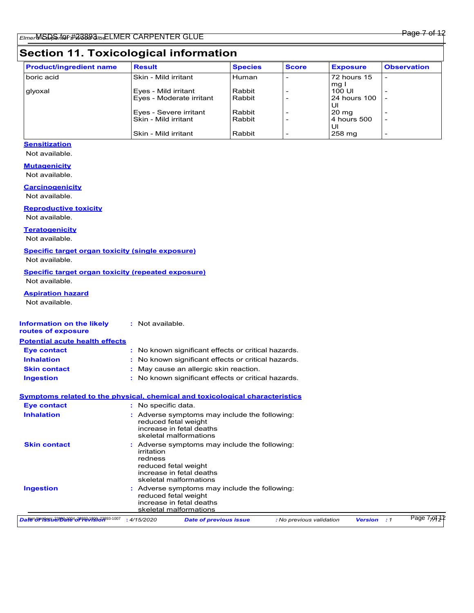# **Section 11. Toxicological information**

| <b>Product/ingredient name</b> | <b>Result</b>            | <b>Species</b> | <b>Score</b> | <b>Exposure</b>    | <b>Observation</b>       |
|--------------------------------|--------------------------|----------------|--------------|--------------------|--------------------------|
| boric acid                     | Skin - Mild irritant     | Human          |              | <b>72 hours 15</b> |                          |
|                                |                          |                |              | mg I               |                          |
| glyoxal                        | Eyes - Mild irritant     | Rabbit         |              | 100 UI             |                          |
|                                | Eyes - Moderate irritant | Rabbit         |              | 24 hours 100       |                          |
|                                |                          |                |              | UI                 |                          |
|                                | Eyes - Severe irritant   | Rabbit         |              | $20 \text{ ma}$    |                          |
|                                | Skin - Mild irritant     | Rabbit         |              | 4 hours 500        | $\overline{\phantom{a}}$ |
|                                |                          |                |              | UI                 |                          |
|                                | Skin - Mild irritant     | Rabbit         |              | 258 mg             |                          |

### **Sensitization**

Not available.

### **Mutagenicity**

Not available.

### **Carcinogenicity**

Not available.

### **Reproductive toxicity**

Not available.

### **Teratogenicity**

Not available.

### **Specific target organ toxicity (single exposure)**

Not available.

#### **Specific target organ toxicity (repeated exposure)** Not available.

**Aspiration hazard**

Not available.

| <b>Information on the likely</b><br>routes of exposure | : Not available.                                                                                                                                     |
|--------------------------------------------------------|------------------------------------------------------------------------------------------------------------------------------------------------------|
| <b>Potential acute health effects</b>                  |                                                                                                                                                      |
| Eye contact                                            | : No known significant effects or critical hazards.                                                                                                  |
| <b>Inhalation</b>                                      | : No known significant effects or critical hazards.                                                                                                  |
| <b>Skin contact</b>                                    | May cause an allergic skin reaction.                                                                                                                 |
| <b>Ingestion</b>                                       | : No known significant effects or critical hazards.                                                                                                  |
|                                                        | <b>Symptoms related to the physical, chemical and toxicological characteristics</b>                                                                  |
| Eye contact                                            | : No specific data.                                                                                                                                  |
| <b>Inhalation</b>                                      | : Adverse symptoms may include the following:<br>reduced fetal weight<br>increase in fetal deaths<br>skeletal malformations                          |
| <b>Skin contact</b>                                    | : Adverse symptoms may include the following:<br>irritation<br>redness<br>reduced fetal weight<br>increase in fetal deaths<br>skeletal malformations |
| <b>Ingestion</b>                                       | : Adverse symptoms may include the following:<br>reduced fetal weight<br>increase in fetal deaths<br>skeletal malformations                          |
| Daten Numbert 23/23/24/24 28923 1989 23/393-1007       | Page 7-of<br><b>Version</b><br>: 4/15/2020<br><b>Date of previous issue</b><br>: No previous validation<br>$\cdot$ 1                                 |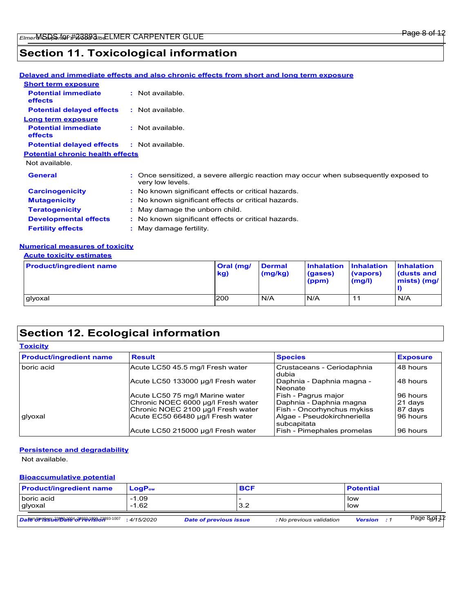### Page 8 of 12

## **Section 11. Toxicological information**

|                                              |    | <u>Delayed and immediate effects and also chronic effects from short and long term exposure</u>          |
|----------------------------------------------|----|----------------------------------------------------------------------------------------------------------|
| <b>Short term exposure</b>                   |    |                                                                                                          |
| <b>Potential immediate</b><br><b>effects</b> |    | : Not available.                                                                                         |
| <b>Potential delayed effects</b>             |    | : Not available.                                                                                         |
| Long term exposure                           |    |                                                                                                          |
| <b>Potential immediate</b><br><b>effects</b> |    | : Not available.                                                                                         |
| <b>Potential delayed effects</b>             |    | : Not available.                                                                                         |
| <b>Potential chronic health effects</b>      |    |                                                                                                          |
| Not available.                               |    |                                                                                                          |
| <b>General</b>                               |    | : Once sensitized, a severe allergic reaction may occur when subsequently exposed to<br>very low levels. |
| <b>Carcinogenicity</b>                       |    | : No known significant effects or critical hazards.                                                      |
| <b>Mutagenicity</b>                          |    | : No known significant effects or critical hazards.                                                      |
| <b>Teratogenicity</b>                        |    | : May damage the unborn child.                                                                           |
| <b>Developmental effects</b>                 |    | : No known significant effects or critical hazards.                                                      |
| <b>Fertility effects</b>                     | ÷. | May damage fertility.                                                                                    |
|                                              |    |                                                                                                          |

### **Numerical measures of toxicity**

### **Acute toxicity estimates**

| <b>Product/ingredient name</b> | <b>Oral</b> (mg/<br>kg) | <b>Dermal</b><br>(mg/kg) | <b>Inhalation Inhalation</b><br>(gases)<br>(ppm) | (vapors)<br>(mg/l) | <b>Inhalation</b><br><b>dusts and</b><br>mists) (mg/ |
|--------------------------------|-------------------------|--------------------------|--------------------------------------------------|--------------------|------------------------------------------------------|
| glyoxal                        | <b>200</b>              | N/A                      | IN/A                                             | 11                 | N/A                                                  |

## **Section 12. Ecological information**

### **Toxicity**

| <b>Product/ingredient name</b> | <b>Result</b>                      | <b>Species</b>                             | <b>Exposure</b> |
|--------------------------------|------------------------------------|--------------------------------------------|-----------------|
| boric acid                     | Acute LC50 45.5 mg/l Fresh water   | Crustaceans - Ceriodaphnia<br>dubia        | 48 hours        |
|                                | Acute LC50 133000 ug/l Fresh water | Daphnia - Daphnia magna -<br>Neonate       | 48 hours        |
|                                | Acute LC50 75 mg/l Marine water    | Fish - Pagrus major                        | 96 hours        |
|                                | Chronic NOEC 6000 µg/l Fresh water | Daphnia - Daphnia magna                    | 21 days         |
|                                | Chronic NOEC 2100 µg/l Fresh water | Fish - Oncorhynchus mykiss                 | 87 days         |
| glyoxal                        | Acute EC50 66480 µg/l Fresh water  | Algae - Pseudokirchneriella<br>subcapitata | 96 hours        |
|                                | Acute LC50 215000 µg/l Fresh water | Fish - Pimephales promelas                 | 96 hours        |

#### **Persistence and degradability**

Not available.

### **Bioaccumulative potential**

| <b>Product/ingredient name</b>                 | $LogP_{ow}$        |                               | <b>BCF</b> |                          | <b>Potential</b>   |                           |
|------------------------------------------------|--------------------|-------------------------------|------------|--------------------------|--------------------|---------------------------|
| boric acid<br>glyoxal                          | $-1.09$<br>$-1.62$ |                               | 3.2        |                          | low<br>low         |                           |
| Datem Numbers 23893-1094 28893-1096 23893-1007 | : 4/15/2020        | <b>Date of previous issue</b> |            | : No previous validation | <b>Version</b> : 1 | Page 8 <sub>8</sub> 91312 |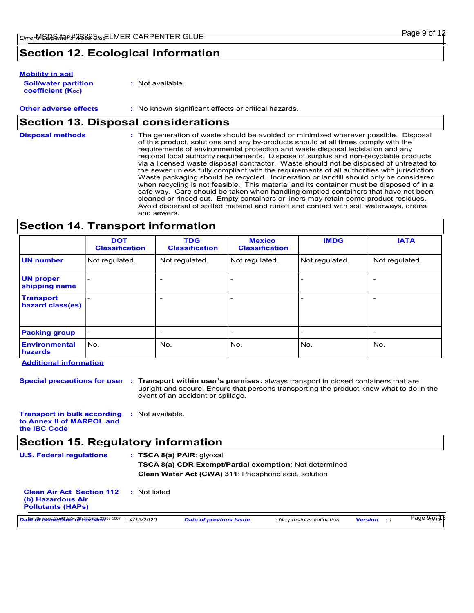## **Section 12. Ecological information**

#### **Mobility in soil**

| <b>Soil/water partition</b> | : Not available. |
|-----------------------------|------------------|
| <b>coefficient (Koc)</b>    |                  |

**Other adverse effects :** No known significant effects or critical hazards.

### **Section 13. Disposal considerations**

The generation of waste should be avoided or minimized wherever possible. Disposal of this product, solutions and any by-products should at all times comply with the requirements of environmental protection and waste disposal legislation and any regional local authority requirements. Dispose of surplus and non-recyclable products via a licensed waste disposal contractor. Waste should not be disposed of untreated to the sewer unless fully compliant with the requirements of all authorities with jurisdiction. Waste packaging should be recycled. Incineration or landfill should only be considered when recycling is not feasible. This material and its container must be disposed of in a safe way. Care should be taken when handling emptied containers that have not been cleaned or rinsed out. Empty containers or liners may retain some product residues. Avoid dispersal of spilled material and runoff and contact with soil, waterways, drains and sewers. **Disposal methods :**

### **Section 14. Transport information**

|                                      | <b>DOT</b><br><b>Classification</b> | <b>TDG</b><br><b>Classification</b> | <b>Mexico</b><br><b>Classification</b> | <b>IMDG</b>              | <b>IATA</b>    |
|--------------------------------------|-------------------------------------|-------------------------------------|----------------------------------------|--------------------------|----------------|
| <b>UN number</b>                     | Not regulated.                      | Not regulated.                      | Not regulated.                         | Not regulated.           | Not regulated. |
| <b>UN proper</b><br>shipping name    |                                     | $\overline{\phantom{a}}$            | $\overline{\phantom{a}}$               | $\overline{ }$           |                |
| <b>Transport</b><br>hazard class(es) |                                     | $\overline{\phantom{a}}$            | $\overline{\phantom{a}}$               | $\overline{\phantom{0}}$ |                |
| <b>Packing group</b>                 | -                                   | $\overline{\phantom{a}}$            | $\overline{\phantom{a}}$               | $\overline{\phantom{0}}$ |                |
| <b>Environmental</b><br>hazards      | No.                                 | No.                                 | No.                                    | No.                      | No.            |

### **Additional information**

**Special precautions for user Transport within user's premises:** always transport in closed containers that are **:** upright and secure. Ensure that persons transporting the product know what to do in the event of an accident or spillage.

**Transport in bulk according :** Not available. **to Annex II of MARPOL and the IBC Code**

### **Section 15. Regulatory information**

| <b>U.S. Federal regulations</b>                                                   |             | : TSCA 8(a) PAIR: q yoxal<br><b>TSCA 8(a) CDR Exempt/Partial exemption: Not determined</b><br>Clean Water Act (CWA) 311: Phosphoric acid, solution |                          |                    |                          |  |
|-----------------------------------------------------------------------------------|-------------|----------------------------------------------------------------------------------------------------------------------------------------------------|--------------------------|--------------------|--------------------------|--|
| <b>Clean Air Act Section 112</b><br>(b) Hazardous Air<br><b>Pollutants (HAPs)</b> | Not listed  |                                                                                                                                                    |                          |                    |                          |  |
| Date Surges 23203109403898199633893-1007                                          | : 4/15/2020 | <b>Date of previous issue</b>                                                                                                                      | : No previous validation | <b>Version</b> : 1 | Page 9 <sub>9</sub> 9‡32 |  |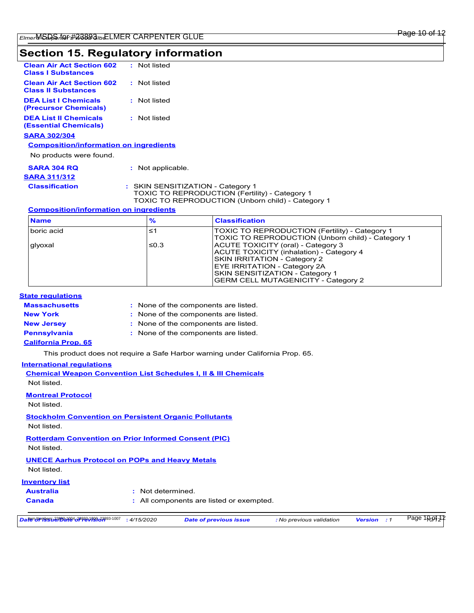# **Section 15. Regulatory information**

| <b>Clean Air Act Section 602</b><br><b>Class I Substances</b>  | : Not listed    |
|----------------------------------------------------------------|-----------------|
| <b>Clean Air Act Section 602</b><br><b>Class II Substances</b> | • Not listed    |
| <b>DEA List I Chemicals</b><br>(Precursor Chemicals)           | : Not listed    |
| <b>DEA List II Chemicals</b><br><b>(Essential Chemicals)</b>   | : Not listed    |
| <b>SARA 302/304</b>                                            |                 |
| <b>Composition/information on ingredients</b>                  |                 |
| No products were found.                                        |                 |
| <b>SARA 304 RO</b><br><b>SARA 311/312</b>                      | Not applicable. |

| ARA 311/312    |                                                                                                                                          |
|----------------|------------------------------------------------------------------------------------------------------------------------------------------|
| Classification | : SKIN SENSITIZATION - Category 1<br>TOXIC TO REPRODUCTION (Fertility) - Category 1<br>TOXIC TO REPRODUCTION (Unborn child) - Category 1 |

### **Composition/information on ingredients**

| <b>Name</b> | $\frac{9}{6}$ | <b>Classification</b>                                                                                                                                                                                                           |
|-------------|---------------|---------------------------------------------------------------------------------------------------------------------------------------------------------------------------------------------------------------------------------|
| boric acid  | ≤1            | TOXIC TO REPRODUCTION (Fertility) - Category 1<br>TOXIC TO REPRODUCTION (Unborn child) - Category 1                                                                                                                             |
| glyoxal     | ≤0.3          | ACUTE TOXICITY (oral) - Category 3<br>ACUTE TOXICITY (inhalation) - Category 4<br>SKIN IRRITATION - Category 2<br>EYE IRRITATION - Category 2A<br>SKIN SENSITIZATION - Category 1<br><b>GERM CELL MUTAGENICITY - Category 2</b> |

### **State regulations**

| <b>Massachusetts</b>       | : None of the components are listed. |
|----------------------------|--------------------------------------|
| <b>New York</b>            | : None of the components are listed. |
| <b>New Jersey</b>          | : None of the components are listed. |
| <b>Pennsylvania</b>        | : None of the components are listed. |
| <b>California Prop. 65</b> |                                      |

This product does not require a Safe Harbor warning under California Prop. 65.

### **International regulations**

| <b>Chemical Weapon Convention List Schedules I, II &amp; III Chemicals</b><br>Not listed |
|------------------------------------------------------------------------------------------|
| <b>Montreal Protocol</b><br>Not listed                                                   |
| <b>Stockholm Convention on Persistent Organic Pollutants</b><br>Not listed               |
| <b>Rotterdam Convention on Prior Informed Consent (PIC)</b><br>Not listed                |
| <b>UNECE Aarhus Protocol on POPs and Heavy Metals</b><br>Not listed.                     |

### **Inventory list**

| Australia | : Not determined.                        |
|-----------|------------------------------------------|
| Canada    | : All components are listed or exempted. |
|           |                                          |

| Daten Nrmessa 231934194078883199963893-1007 | $\cdot$ : 4/15/2020 | <b>Date of previous issue</b> | : No previous validation | Version | Page 100912 |  |
|---------------------------------------------|---------------------|-------------------------------|--------------------------|---------|-------------|--|
|---------------------------------------------|---------------------|-------------------------------|--------------------------|---------|-------------|--|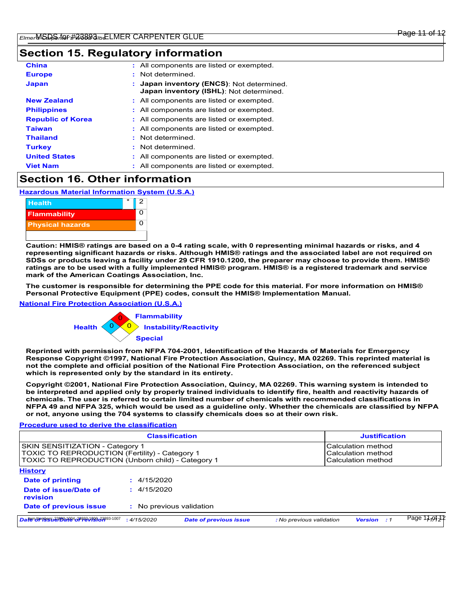### **Section 15. Regulatory information**

| <b>China</b>             | : All components are listed or exempted.                                             |  |
|--------------------------|--------------------------------------------------------------------------------------|--|
| <b>Europe</b>            | : Not determined.                                                                    |  |
| <b>Japan</b>             | : Japan inventory (ENCS): Not determined.<br>Japan inventory (ISHL): Not determined. |  |
| <b>New Zealand</b>       | : All components are listed or exempted.                                             |  |
| <b>Philippines</b>       | : All components are listed or exempted.                                             |  |
| <b>Republic of Korea</b> | : All components are listed or exempted.                                             |  |
| <b>Taiwan</b>            | : All components are listed or exempted.                                             |  |
| <b>Thailand</b>          | : Not determined.                                                                    |  |
| <b>Turkey</b>            | : Not determined.                                                                    |  |
| <b>United States</b>     | : All components are listed or exempted.                                             |  |
| <b>Viet Nam</b>          | : All components are listed or exempted.                                             |  |

## **Section 16. Other information**

**Hazardous Material Information System (U.S.A.)**



**Caution: HMIS® ratings are based on a 0-4 rating scale, with 0 representing minimal hazards or risks, and 4 representing significant hazards or risks. Although HMIS® ratings and the associated label are not required on SDSs or products leaving a facility under 29 CFR 1910.1200, the preparer may choose to provide them. HMIS® ratings are to be used with a fully implemented HMIS® program. HMIS® is a registered trademark and service mark of the American Coatings Association, Inc.**

**The customer is responsible for determining the PPE code for this material. For more information on HMIS® Personal Protective Equipment (PPE) codes, consult the HMIS® Implementation Manual.**

#### **National Fire Protection Association (U.S.A.)**



**Reprinted with permission from NFPA 704-2001, Identification of the Hazards of Materials for Emergency Response Copyright ©1997, National Fire Protection Association, Quincy, MA 02269. This reprinted material is not the complete and official position of the National Fire Protection Association, on the referenced subject which is represented only by the standard in its entirety.**

**Copyright ©2001, National Fire Protection Association, Quincy, MA 02269. This warning system is intended to be interpreted and applied only by properly trained individuals to identify fire, health and reactivity hazards of chemicals. The user is referred to certain limited number of chemicals with recommended classifications in NFPA 49 and NFPA 325, which would be used as a guideline only. Whether the chemicals are classified by NFPA or not, anyone using the 704 systems to classify chemicals does so at their own risk.**

#### **Procedure used to derive the classification**

| <b>Classification</b>                                                                                                                         |                          |                               | <b>Justification</b>                                           |                    |             |
|-----------------------------------------------------------------------------------------------------------------------------------------------|--------------------------|-------------------------------|----------------------------------------------------------------|--------------------|-------------|
| SKIN SENSITIZATION - Category 1<br><b>TOXIC TO REPRODUCTION (Fertility) - Category 1</b><br>TOXIC TO REPRODUCTION (Unborn child) - Category 1 |                          |                               | Calculation method<br>Calculation method<br>Calculation method |                    |             |
| <b>History</b>                                                                                                                                |                          |                               |                                                                |                    |             |
| Date of printing                                                                                                                              | : 4/15/2020              |                               |                                                                |                    |             |
| Date of issue/Date of<br>revision                                                                                                             | : 4/15/2020              |                               |                                                                |                    |             |
| Date of previous issue                                                                                                                        | : No previous validation |                               |                                                                |                    |             |
| Daten Numbers 23893-1094 28893-10086-23893-1007                                                                                               | : 4/15/2020              | <b>Date of previous issue</b> | : No previous validation                                       | <b>Version</b> : 1 | Page 11,914 |